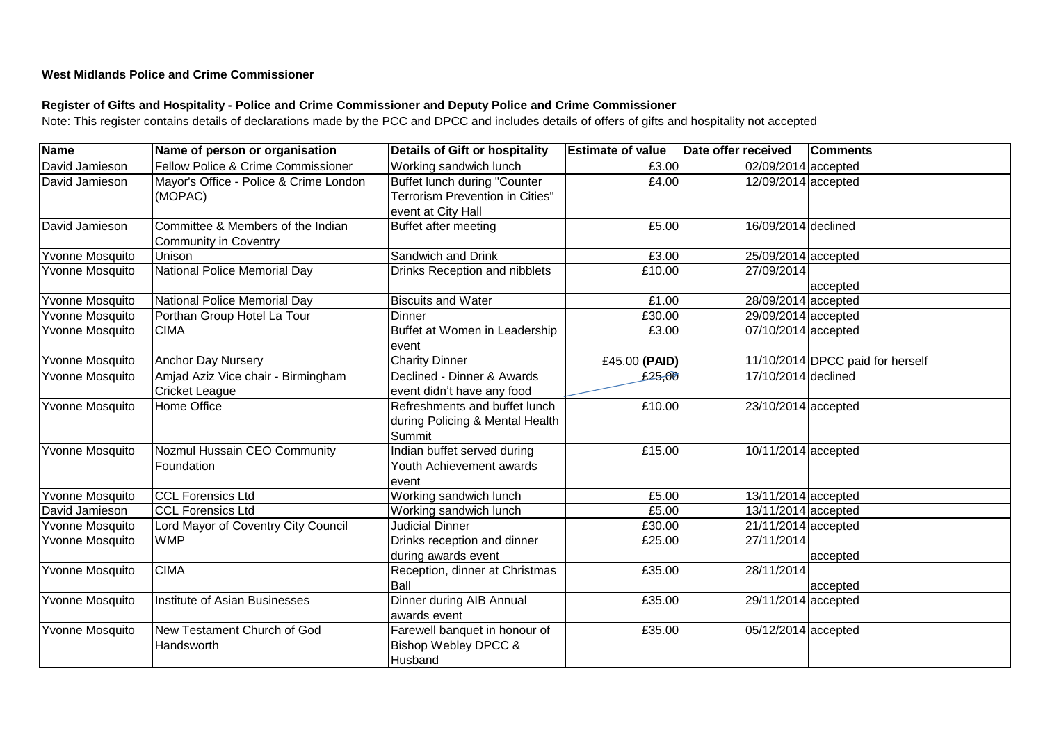## **West Midlands Police and Crime Commissioner**

## **Register of Gifts and Hospitality - Police and Crime Commissioner and Deputy Police and Crime Commissioner**

Note: This register contains details of declarations made by the PCC and DPCC and includes details of offers of gifts and hospitality not accepted

| <b>Name</b>            | Name of person or organisation         | <b>Details of Gift or hospitality</b>  | <b>Estimate of value</b> | Date offer received     | <b>Comments</b>                  |
|------------------------|----------------------------------------|----------------------------------------|--------------------------|-------------------------|----------------------------------|
| David Jamieson         | Fellow Police & Crime Commissioner     | Working sandwich lunch                 | £3.00                    | 02/09/2014 accepted     |                                  |
| David Jamieson         | Mayor's Office - Police & Crime London | <b>Buffet lunch during "Counter</b>    | £4.00                    | $12/09/2014$ accepted   |                                  |
|                        | (MOPAC)                                | <b>Terrorism Prevention in Cities"</b> |                          |                         |                                  |
|                        |                                        | event at City Hall                     |                          |                         |                                  |
| David Jamieson         | Committee & Members of the Indian      | <b>Buffet after meeting</b>            | £5.00                    | 16/09/2014 declined     |                                  |
|                        | <b>Community in Coventry</b>           |                                        |                          |                         |                                  |
| Yvonne Mosquito        | <b>Unison</b>                          | Sandwich and Drink                     | £3.00                    | 25/09/2014 accepted     |                                  |
| <b>Yvonne Mosquito</b> | National Police Memorial Day           | Drinks Reception and nibblets          | £10.00                   | 27/09/2014              |                                  |
|                        |                                        |                                        |                          |                         | accepted                         |
| Yvonne Mosquito        | National Police Memorial Day           | <b>Biscuits and Water</b>              | £1.00                    | 28/09/2014 accepted     |                                  |
| Yvonne Mosquito        | Porthan Group Hotel La Tour            | <b>Dinner</b>                          | £30.00                   | 29/09/2014 accepted     |                                  |
| Yvonne Mosquito        | <b>CIMA</b>                            | Buffet at Women in Leadership<br>event | £3.00                    | $07/10/2014$ accepted   |                                  |
| Yvonne Mosquito        | <b>Anchor Day Nursery</b>              | <b>Charity Dinner</b>                  | £45.00 (PAID)            |                         | 11/10/2014 DPCC paid for herself |
| Yvonne Mosquito        | Amjad Aziz Vice chair - Birmingham     | Declined - Dinner & Awards             | £25,00                   | 17/10/2014 declined     |                                  |
|                        | <b>Cricket League</b>                  | event didn't have any food             |                          |                         |                                  |
| <b>Yvonne Mosquito</b> | <b>Home Office</b>                     | Refreshments and buffet lunch          | £10.00                   | 23/10/2014 accepted     |                                  |
|                        |                                        | during Policing & Mental Health        |                          |                         |                                  |
|                        |                                        | Summit                                 |                          |                         |                                  |
| Yvonne Mosquito        | Nozmul Hussain CEO Community           | Indian buffet served during            | £15.00                   | 10/11/2014 accepted     |                                  |
|                        | Foundation                             | Youth Achievement awards               |                          |                         |                                  |
|                        |                                        | event                                  |                          |                         |                                  |
| Yvonne Mosquito        | <b>CCL Forensics Ltd</b>               | Working sandwich lunch                 | £5.00                    | $13/11/2014$ accepted   |                                  |
| David Jamieson         | <b>CCL Forensics Ltd</b>               | Working sandwich lunch                 | £5.00                    | 13/11/2014 accepted     |                                  |
| Yvonne Mosquito        | Lord Mayor of Coventry City Council    | <b>Judicial Dinner</b>                 | £30.00                   | 21/11/2014 accepted     |                                  |
| Yvonne Mosquito        | <b>WMP</b>                             | Drinks reception and dinner            | £25.00                   | $\overline{27/11/2014}$ |                                  |
|                        |                                        | during awards event                    |                          |                         | accepted                         |
| Yvonne Mosquito        | <b>CIMA</b>                            | Reception, dinner at Christmas         | £35.00                   | 28/11/2014              |                                  |
|                        |                                        | Ball                                   |                          |                         | accepted                         |
| Yvonne Mosquito        | Institute of Asian Businesses          | Dinner during AIB Annual               | £35.00                   | 29/11/2014 accepted     |                                  |
|                        |                                        | awards event                           |                          |                         |                                  |
| Yvonne Mosquito        | New Testament Church of God            | Farewell banquet in honour of          | £35.00                   | 05/12/2014 accepted     |                                  |
|                        | Handsworth                             | <b>Bishop Webley DPCC &amp;</b>        |                          |                         |                                  |
|                        |                                        | Husband                                |                          |                         |                                  |